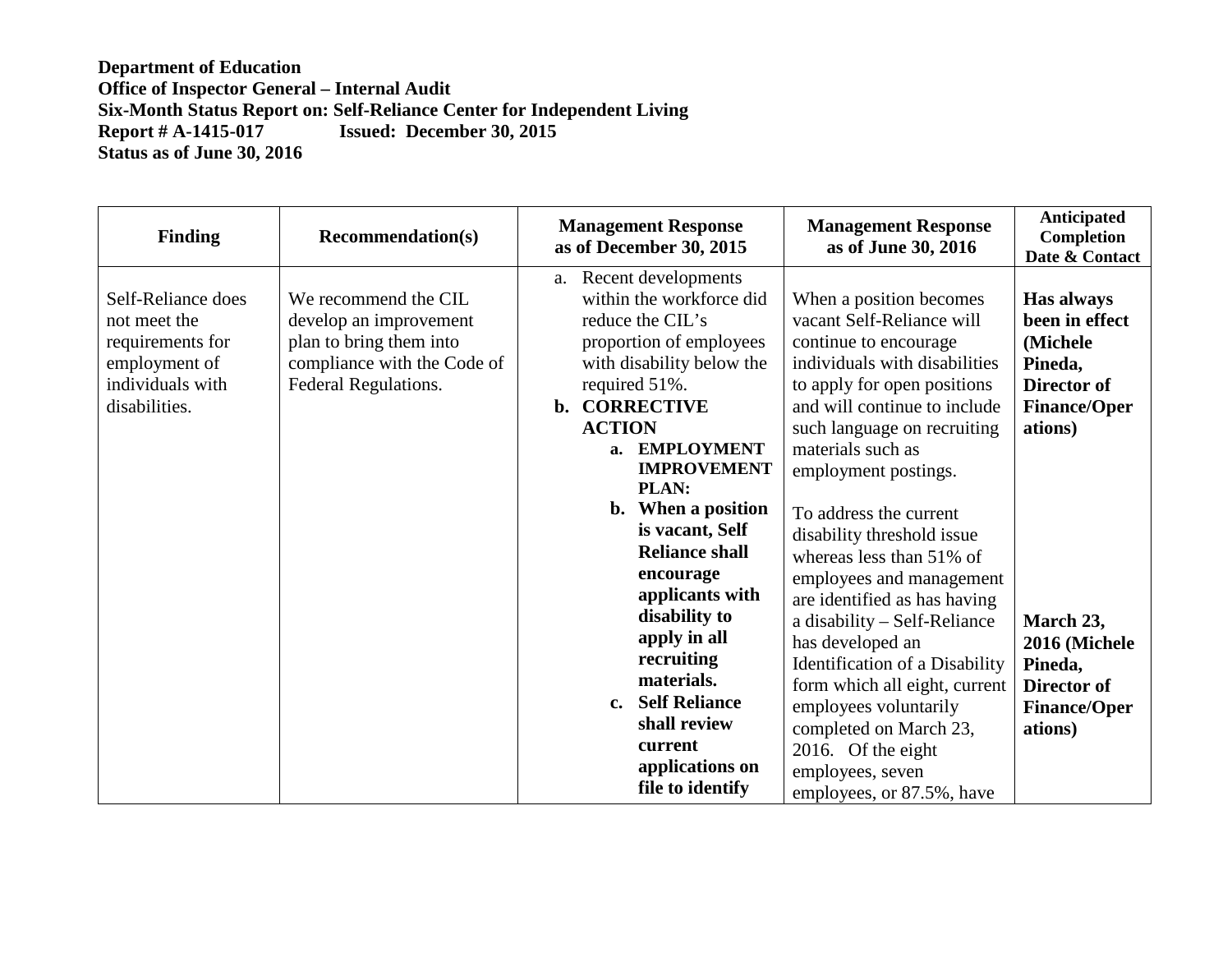| <b>Finding</b>                                                                                               | <b>Recommendation(s)</b>                                                                                                         | <b>Management Response</b><br>as of December 30, 2015                                                                                                                                                                                                                                                                                                                                                                                                                                                              | <b>Management Response</b><br>as of June 30, 2016                                                                                                                                                                                                                                                                                                                                                                                                                                                                                                                                                                                                          | <b>Anticipated</b><br>Completion<br>Date & Contact                                                                                                                                              |
|--------------------------------------------------------------------------------------------------------------|----------------------------------------------------------------------------------------------------------------------------------|--------------------------------------------------------------------------------------------------------------------------------------------------------------------------------------------------------------------------------------------------------------------------------------------------------------------------------------------------------------------------------------------------------------------------------------------------------------------------------------------------------------------|------------------------------------------------------------------------------------------------------------------------------------------------------------------------------------------------------------------------------------------------------------------------------------------------------------------------------------------------------------------------------------------------------------------------------------------------------------------------------------------------------------------------------------------------------------------------------------------------------------------------------------------------------------|-------------------------------------------------------------------------------------------------------------------------------------------------------------------------------------------------|
| Self-Reliance does<br>not meet the<br>requirements for<br>employment of<br>individuals with<br>disabilities. | We recommend the CIL<br>develop an improvement<br>plan to bring them into<br>compliance with the Code of<br>Federal Regulations. | Recent developments<br>a.<br>within the workforce did<br>reduce the CIL's<br>proportion of employees<br>with disability below the<br>required 51%.<br>b. CORRECTIVE<br><b>ACTION</b><br><b>EMPLOYMENT</b><br>a.<br><b>IMPROVEMENT</b><br>PLAN:<br>When a position<br>$\mathbf{b}$ .<br>is vacant, Self<br><b>Reliance shall</b><br>encourage<br>applicants with<br>disability to<br>apply in all<br>recruiting<br>materials.<br>c. Self Reliance<br>shall review<br>current<br>applications on<br>file to identify | When a position becomes<br>vacant Self-Reliance will<br>continue to encourage<br>individuals with disabilities<br>to apply for open positions<br>and will continue to include<br>such language on recruiting<br>materials such as<br>employment postings.<br>To address the current<br>disability threshold issue<br>whereas less than 51% of<br>employees and management<br>are identified as has having<br>a disability - Self-Reliance<br>has developed an<br>Identification of a Disability<br>form which all eight, current<br>employees voluntarily<br>completed on March 23,<br>2016. Of the eight<br>employees, seven<br>employees, or 87.5%, have | Has always<br>been in effect<br>(Michele)<br>Pineda,<br>Director of<br><b>Finance/Oper</b><br>ations)<br>March 23,<br>2016 (Michele<br>Pineda,<br>Director of<br><b>Finance/Oper</b><br>ations) |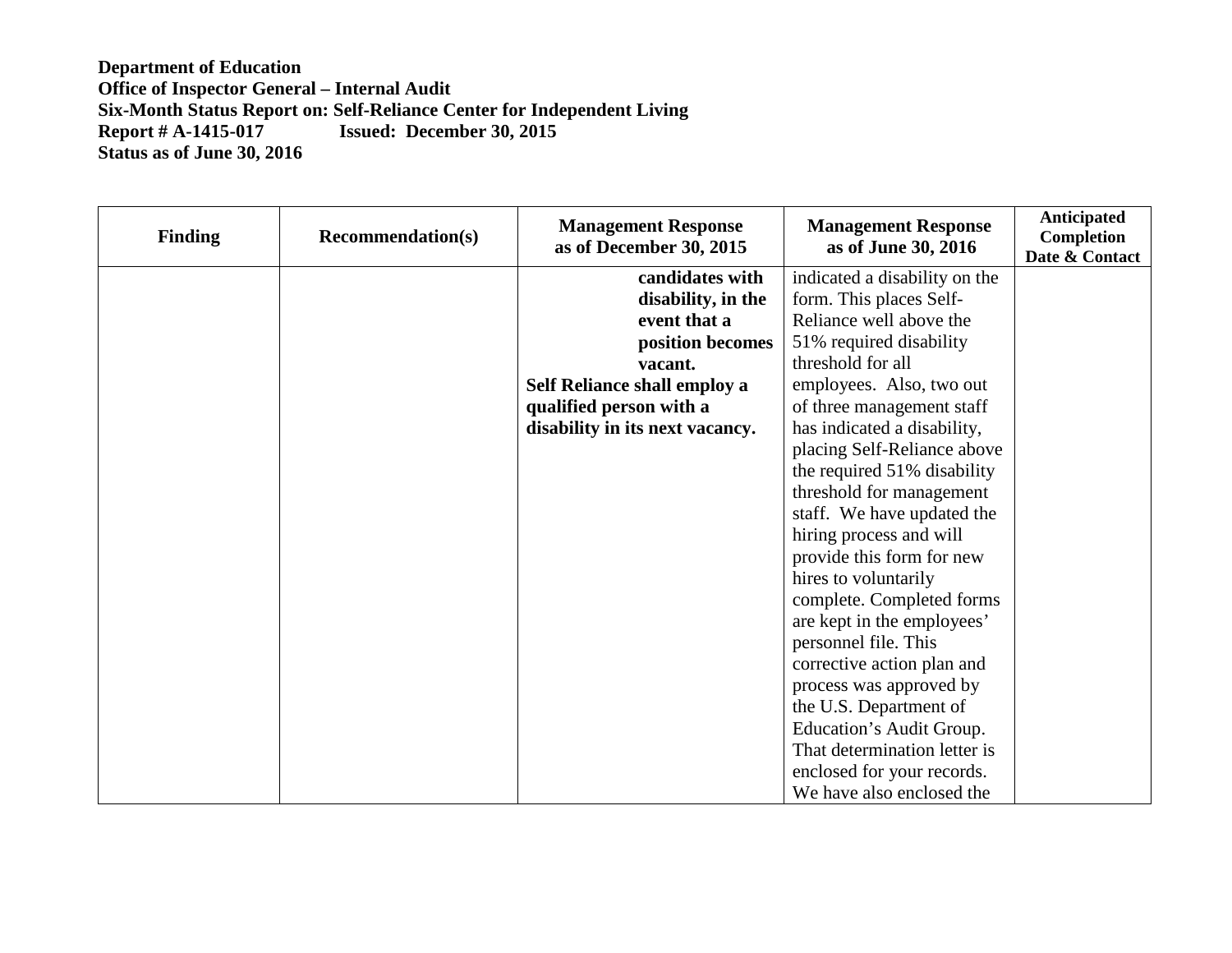| <b>Finding</b> | <b>Recommendation(s)</b> | <b>Management Response</b><br>as of December 30, 2015 | <b>Management Response</b><br>as of June 30, 2016 | Anticipated<br>Completion<br>Date & Contact |
|----------------|--------------------------|-------------------------------------------------------|---------------------------------------------------|---------------------------------------------|
|                |                          | candidates with                                       | indicated a disability on the                     |                                             |
|                |                          | disability, in the                                    | form. This places Self-                           |                                             |
|                |                          | event that a                                          | Reliance well above the                           |                                             |
|                |                          | position becomes                                      | 51% required disability                           |                                             |
|                |                          | vacant.                                               | threshold for all                                 |                                             |
|                |                          | Self Reliance shall employ a                          | employees. Also, two out                          |                                             |
|                |                          | qualified person with a                               | of three management staff                         |                                             |
|                |                          | disability in its next vacancy.                       | has indicated a disability,                       |                                             |
|                |                          |                                                       | placing Self-Reliance above                       |                                             |
|                |                          |                                                       | the required 51% disability                       |                                             |
|                |                          |                                                       | threshold for management                          |                                             |
|                |                          |                                                       | staff. We have updated the                        |                                             |
|                |                          |                                                       | hiring process and will                           |                                             |
|                |                          |                                                       | provide this form for new                         |                                             |
|                |                          |                                                       | hires to voluntarily                              |                                             |
|                |                          |                                                       | complete. Completed forms                         |                                             |
|                |                          |                                                       | are kept in the employees'                        |                                             |
|                |                          |                                                       | personnel file. This                              |                                             |
|                |                          |                                                       | corrective action plan and                        |                                             |
|                |                          |                                                       | process was approved by                           |                                             |
|                |                          |                                                       | the U.S. Department of                            |                                             |
|                |                          |                                                       | Education's Audit Group.                          |                                             |
|                |                          |                                                       | That determination letter is                      |                                             |
|                |                          |                                                       | enclosed for your records.                        |                                             |
|                |                          |                                                       | We have also enclosed the                         |                                             |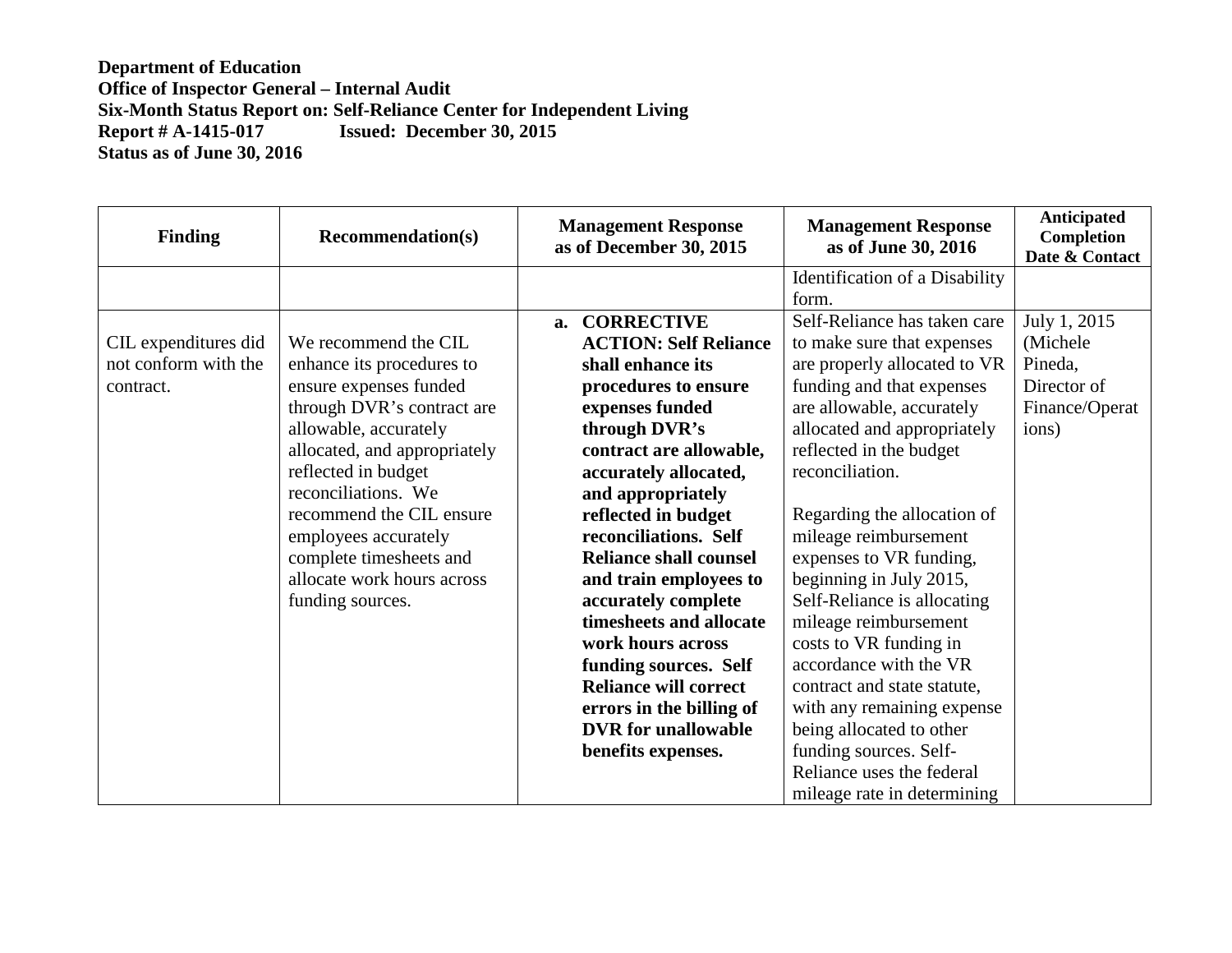| <b>Finding</b>       | <b>Recommendation(s)</b>     | <b>Management Response</b><br>as of December 30, 2015 | <b>Management Response</b><br>as of June 30, 2016 | <b>Anticipated</b><br>Completion<br>Date & Contact |
|----------------------|------------------------------|-------------------------------------------------------|---------------------------------------------------|----------------------------------------------------|
|                      |                              |                                                       | Identification of a Disability                    |                                                    |
|                      |                              |                                                       | form.                                             |                                                    |
|                      |                              | <b>CORRECTIVE</b><br>a.                               | Self-Reliance has taken care                      | July 1, 2015                                       |
| CIL expenditures did | We recommend the CIL         | <b>ACTION: Self Reliance</b>                          | to make sure that expenses                        | (Michele)                                          |
| not conform with the | enhance its procedures to    | shall enhance its                                     | are properly allocated to VR                      | Pineda,                                            |
| contract.            | ensure expenses funded       | procedures to ensure                                  | funding and that expenses                         | Director of                                        |
|                      | through DVR's contract are   | expenses funded                                       | are allowable, accurately                         | Finance/Operat                                     |
|                      | allowable, accurately        | through DVR's                                         | allocated and appropriately                       | ions)                                              |
|                      | allocated, and appropriately | contract are allowable,                               | reflected in the budget                           |                                                    |
|                      | reflected in budget          | accurately allocated,                                 | reconciliation.                                   |                                                    |
|                      | reconciliations. We          | and appropriately                                     |                                                   |                                                    |
|                      | recommend the CIL ensure     | reflected in budget                                   | Regarding the allocation of                       |                                                    |
|                      | employees accurately         | reconciliations. Self                                 | mileage reimbursement                             |                                                    |
|                      | complete timesheets and      | <b>Reliance shall counsel</b>                         | expenses to VR funding,                           |                                                    |
|                      | allocate work hours across   | and train employees to                                | beginning in July 2015,                           |                                                    |
|                      | funding sources.             | accurately complete                                   | Self-Reliance is allocating                       |                                                    |
|                      |                              | timesheets and allocate                               | mileage reimbursement                             |                                                    |
|                      |                              | work hours across                                     | costs to VR funding in                            |                                                    |
|                      |                              | funding sources. Self                                 | accordance with the VR                            |                                                    |
|                      |                              | <b>Reliance will correct</b>                          | contract and state statute,                       |                                                    |
|                      |                              | errors in the billing of                              | with any remaining expense                        |                                                    |
|                      |                              | <b>DVR</b> for unallowable                            | being allocated to other                          |                                                    |
|                      |                              | benefits expenses.                                    | funding sources. Self-                            |                                                    |
|                      |                              |                                                       | Reliance uses the federal                         |                                                    |
|                      |                              |                                                       | mileage rate in determining                       |                                                    |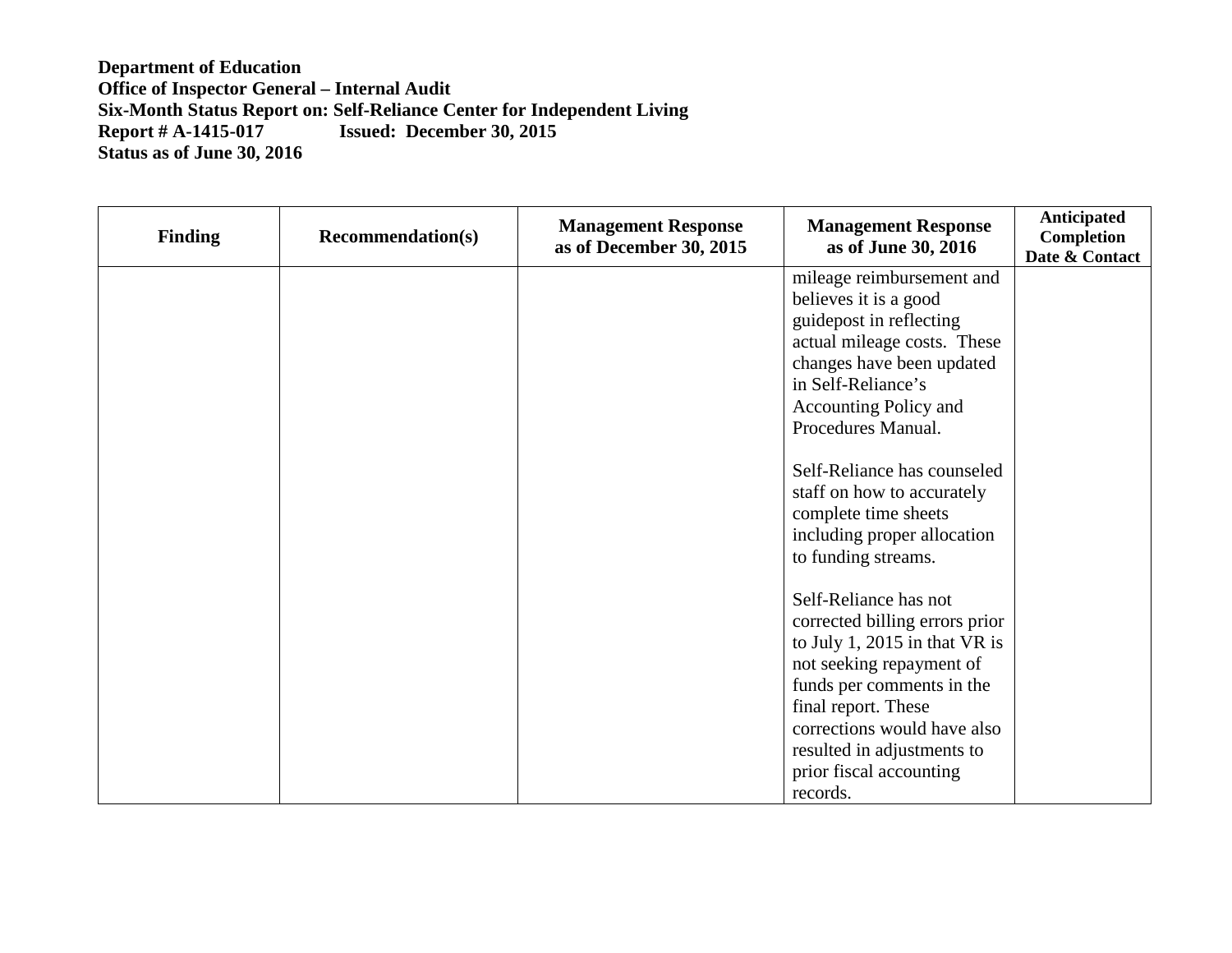| <b>Finding</b> | <b>Recommendation(s)</b> | <b>Management Response</b><br>as of December 30, 2015 | <b>Management Response</b><br>as of June 30, 2016 | Anticipated<br><b>Completion</b><br>Date & Contact |
|----------------|--------------------------|-------------------------------------------------------|---------------------------------------------------|----------------------------------------------------|
|                |                          |                                                       | mileage reimbursement and                         |                                                    |
|                |                          |                                                       | believes it is a good                             |                                                    |
|                |                          |                                                       | guidepost in reflecting                           |                                                    |
|                |                          |                                                       | actual mileage costs. These                       |                                                    |
|                |                          |                                                       | changes have been updated                         |                                                    |
|                |                          |                                                       | in Self-Reliance's                                |                                                    |
|                |                          |                                                       | <b>Accounting Policy and</b>                      |                                                    |
|                |                          |                                                       | Procedures Manual.                                |                                                    |
|                |                          |                                                       |                                                   |                                                    |
|                |                          |                                                       | Self-Reliance has counseled                       |                                                    |
|                |                          |                                                       | staff on how to accurately                        |                                                    |
|                |                          |                                                       | complete time sheets                              |                                                    |
|                |                          |                                                       | including proper allocation                       |                                                    |
|                |                          |                                                       | to funding streams.                               |                                                    |
|                |                          |                                                       |                                                   |                                                    |
|                |                          |                                                       | Self-Reliance has not                             |                                                    |
|                |                          |                                                       | corrected billing errors prior                    |                                                    |
|                |                          |                                                       | to July 1, 2015 in that $VR$ is                   |                                                    |
|                |                          |                                                       | not seeking repayment of                          |                                                    |
|                |                          |                                                       | funds per comments in the                         |                                                    |
|                |                          |                                                       | final report. These                               |                                                    |
|                |                          |                                                       | corrections would have also                       |                                                    |
|                |                          |                                                       | resulted in adjustments to                        |                                                    |
|                |                          |                                                       | prior fiscal accounting                           |                                                    |
|                |                          |                                                       | records.                                          |                                                    |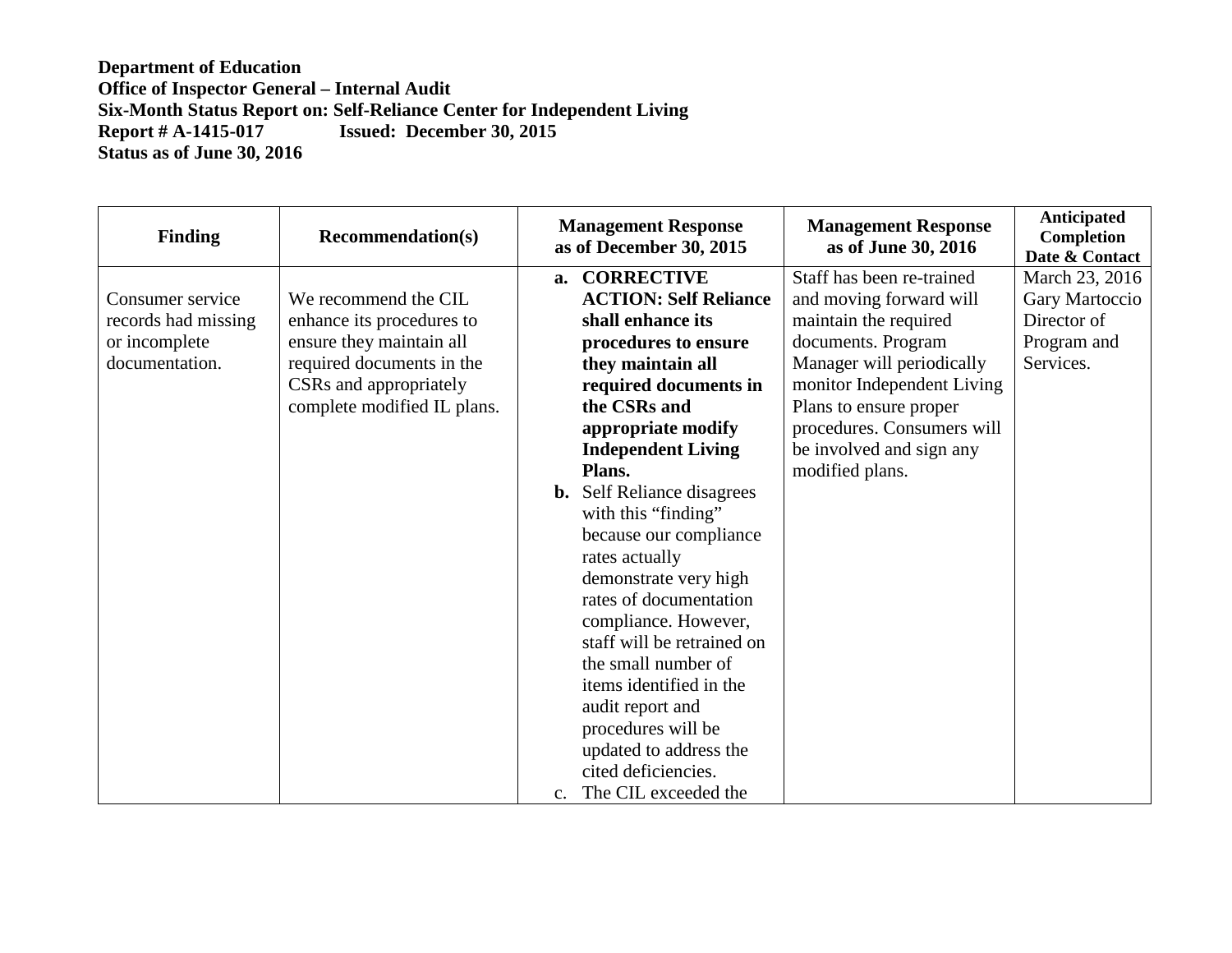| <b>Finding</b>      | <b>Recommendation(s)</b>    | <b>Management Response</b><br>as of December 30, 2015 | <b>Management Response</b><br>as of June 30, 2016 | Anticipated<br><b>Completion</b><br>Date & Contact |
|---------------------|-----------------------------|-------------------------------------------------------|---------------------------------------------------|----------------------------------------------------|
|                     |                             | a. CORRECTIVE                                         | Staff has been re-trained                         | March 23, 2016                                     |
| Consumer service    | We recommend the CIL        | <b>ACTION: Self Reliance</b>                          | and moving forward will                           | Gary Martoccio                                     |
| records had missing | enhance its procedures to   | shall enhance its                                     | maintain the required                             | Director of                                        |
| or incomplete       | ensure they maintain all    | procedures to ensure                                  | documents. Program                                | Program and                                        |
| documentation.      | required documents in the   | they maintain all                                     | Manager will periodically                         | Services.                                          |
|                     | CSRs and appropriately      | required documents in                                 | monitor Independent Living                        |                                                    |
|                     | complete modified IL plans. | the CSRs and                                          | Plans to ensure proper                            |                                                    |
|                     |                             | appropriate modify                                    | procedures. Consumers will                        |                                                    |
|                     |                             | <b>Independent Living</b>                             | be involved and sign any                          |                                                    |
|                     |                             | Plans.                                                | modified plans.                                   |                                                    |
|                     |                             | Self Reliance disagrees<br>b.                         |                                                   |                                                    |
|                     |                             | with this "finding"                                   |                                                   |                                                    |
|                     |                             | because our compliance                                |                                                   |                                                    |
|                     |                             | rates actually                                        |                                                   |                                                    |
|                     |                             | demonstrate very high                                 |                                                   |                                                    |
|                     |                             | rates of documentation                                |                                                   |                                                    |
|                     |                             | compliance. However,                                  |                                                   |                                                    |
|                     |                             | staff will be retrained on                            |                                                   |                                                    |
|                     |                             | the small number of                                   |                                                   |                                                    |
|                     |                             | items identified in the                               |                                                   |                                                    |
|                     |                             | audit report and                                      |                                                   |                                                    |
|                     |                             | procedures will be                                    |                                                   |                                                    |
|                     |                             | updated to address the                                |                                                   |                                                    |
|                     |                             | cited deficiencies.                                   |                                                   |                                                    |
|                     |                             | The CIL exceeded the<br>$C_{\star}$                   |                                                   |                                                    |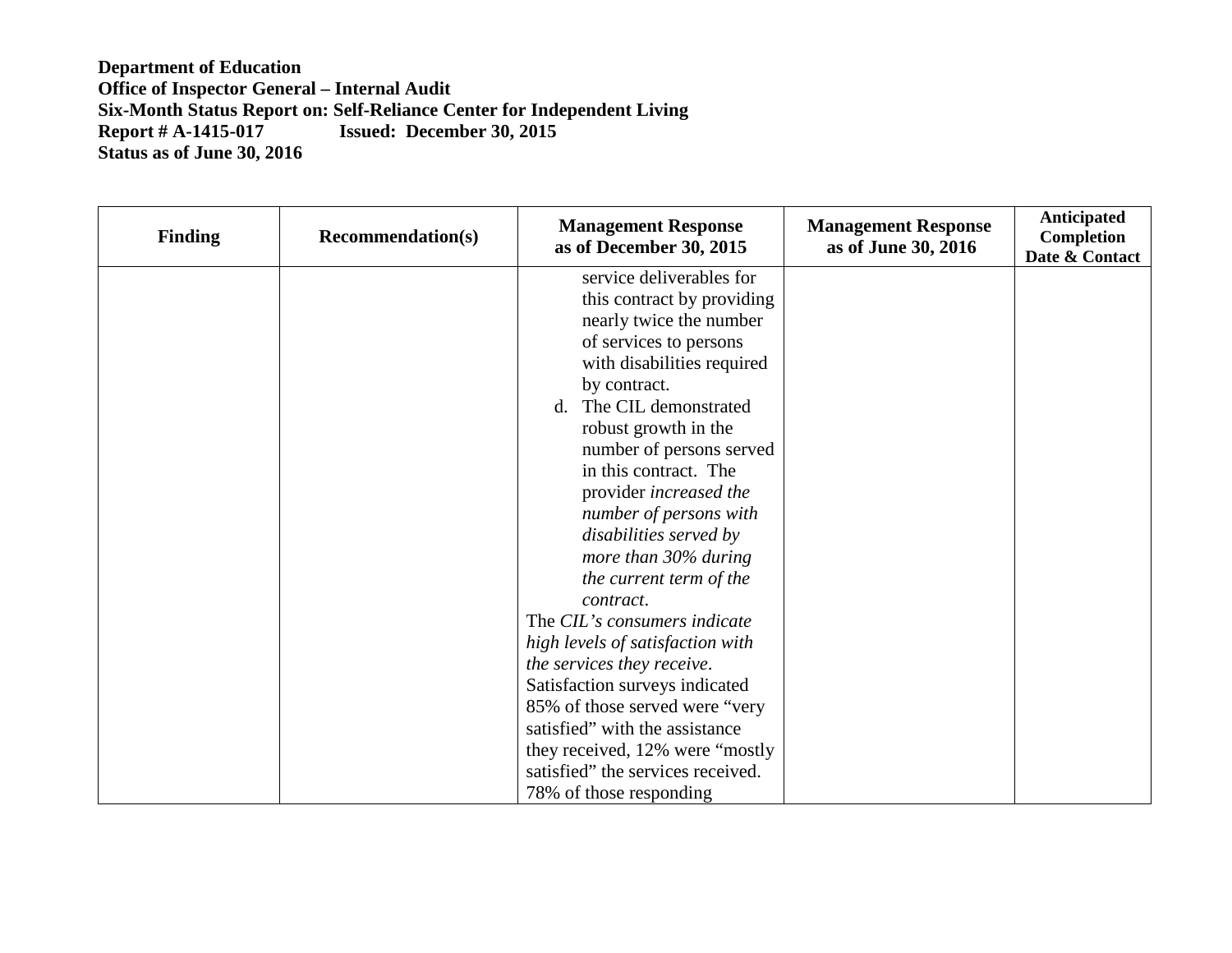| <b>Finding</b> | <b>Recommendation(s)</b> | <b>Management Response</b><br>as of December 30, 2015 | <b>Management Response</b><br>as of June 30, 2016 | Anticipated<br>Completion<br>Date & Contact |
|----------------|--------------------------|-------------------------------------------------------|---------------------------------------------------|---------------------------------------------|
|                |                          | service deliverables for                              |                                                   |                                             |
|                |                          | this contract by providing                            |                                                   |                                             |
|                |                          | nearly twice the number                               |                                                   |                                             |
|                |                          | of services to persons                                |                                                   |                                             |
|                |                          | with disabilities required                            |                                                   |                                             |
|                |                          | by contract.                                          |                                                   |                                             |
|                |                          | The CIL demonstrated<br>d.                            |                                                   |                                             |
|                |                          | robust growth in the                                  |                                                   |                                             |
|                |                          | number of persons served                              |                                                   |                                             |
|                |                          | in this contract. The                                 |                                                   |                                             |
|                |                          | provider increased the                                |                                                   |                                             |
|                |                          | number of persons with                                |                                                   |                                             |
|                |                          | disabilities served by                                |                                                   |                                             |
|                |                          | more than 30% during                                  |                                                   |                                             |
|                |                          | the current term of the                               |                                                   |                                             |
|                |                          | contract.                                             |                                                   |                                             |
|                |                          | The CIL's consumers indicate                          |                                                   |                                             |
|                |                          | high levels of satisfaction with                      |                                                   |                                             |
|                |                          | the services they receive.                            |                                                   |                                             |
|                |                          | Satisfaction surveys indicated                        |                                                   |                                             |
|                |                          | 85% of those served were "very                        |                                                   |                                             |
|                |                          | satisfied" with the assistance                        |                                                   |                                             |
|                |                          | they received, 12% were "mostly                       |                                                   |                                             |
|                |                          | satisfied" the services received.                     |                                                   |                                             |
|                |                          | 78% of those responding                               |                                                   |                                             |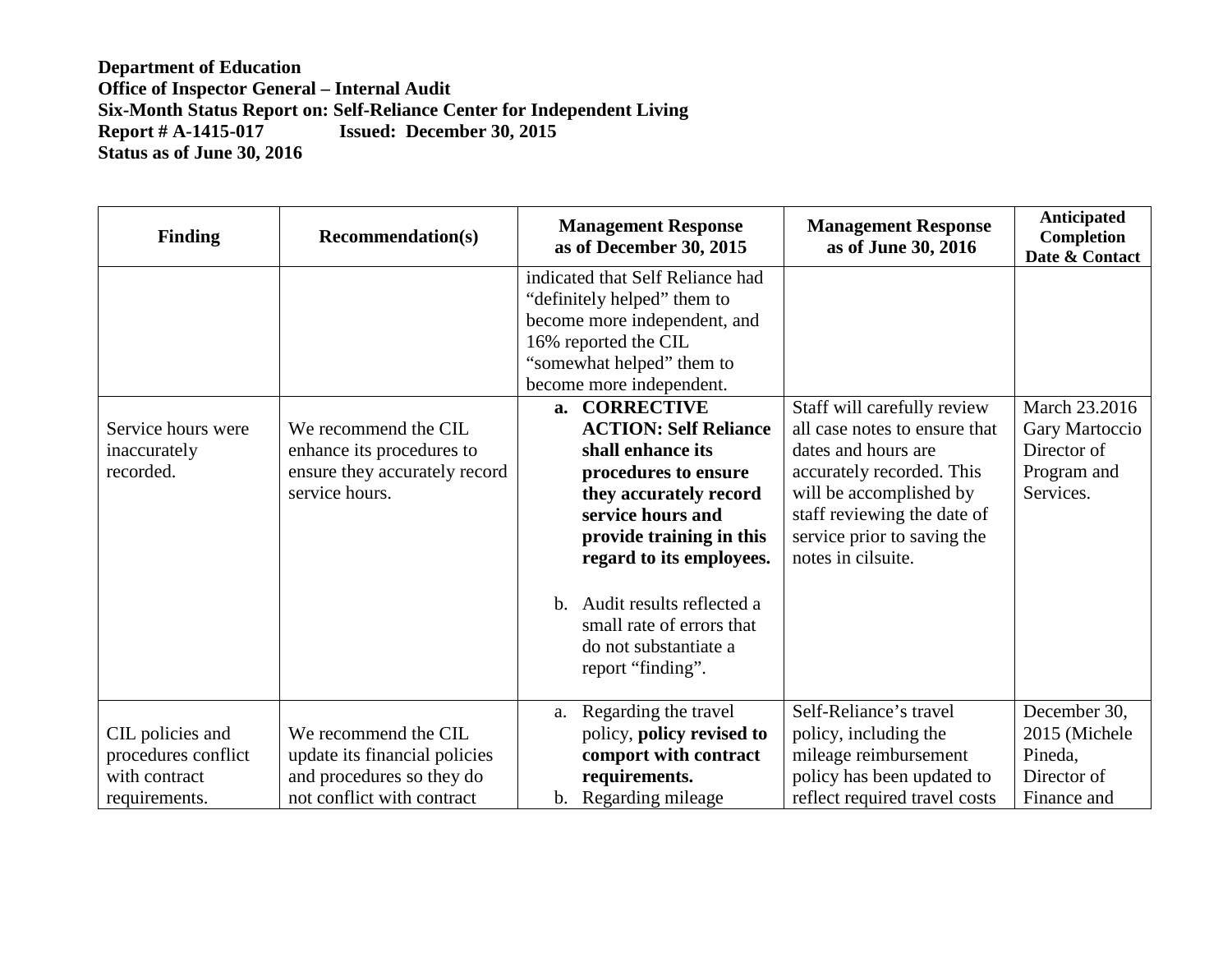| <b>Finding</b>                                           | <b>Recommendation(s)</b>                                                                             | <b>Management Response</b><br>as of December 30, 2015                                                                                                                                                                                                                                                                                                                                                                                                                                            | <b>Management Response</b><br>as of June 30, 2016                                                                                                                                                                               | Anticipated<br>Completion<br>Date & Contact                                |
|----------------------------------------------------------|------------------------------------------------------------------------------------------------------|--------------------------------------------------------------------------------------------------------------------------------------------------------------------------------------------------------------------------------------------------------------------------------------------------------------------------------------------------------------------------------------------------------------------------------------------------------------------------------------------------|---------------------------------------------------------------------------------------------------------------------------------------------------------------------------------------------------------------------------------|----------------------------------------------------------------------------|
| Service hours were<br>inaccurately<br>recorded.          | We recommend the CIL<br>enhance its procedures to<br>ensure they accurately record<br>service hours. | indicated that Self Reliance had<br>"definitely helped" them to<br>become more independent, and<br>16% reported the CIL<br>"somewhat helped" them to<br>become more independent.<br>a. CORRECTIVE<br><b>ACTION: Self Reliance</b><br>shall enhance its<br>procedures to ensure<br>they accurately record<br>service hours and<br>provide training in this<br>regard to its employees.<br>b. Audit results reflected a<br>small rate of errors that<br>do not substantiate a<br>report "finding". | Staff will carefully review<br>all case notes to ensure that<br>dates and hours are<br>accurately recorded. This<br>will be accomplished by<br>staff reviewing the date of<br>service prior to saving the<br>notes in cilsuite. | March 23.2016<br>Gary Martoccio<br>Director of<br>Program and<br>Services. |
| CIL policies and<br>procedures conflict<br>with contract | We recommend the CIL<br>update its financial policies<br>and procedures so they do                   | Regarding the travel<br>a.<br>policy, policy revised to<br>comport with contract<br>requirements.                                                                                                                                                                                                                                                                                                                                                                                                | Self-Reliance's travel<br>policy, including the<br>mileage reimbursement<br>policy has been updated to                                                                                                                          | December 30,<br>2015 (Michele<br>Pineda,<br>Director of                    |
| requirements.                                            | not conflict with contract                                                                           | b. Regarding mileage                                                                                                                                                                                                                                                                                                                                                                                                                                                                             | reflect required travel costs                                                                                                                                                                                                   | Finance and                                                                |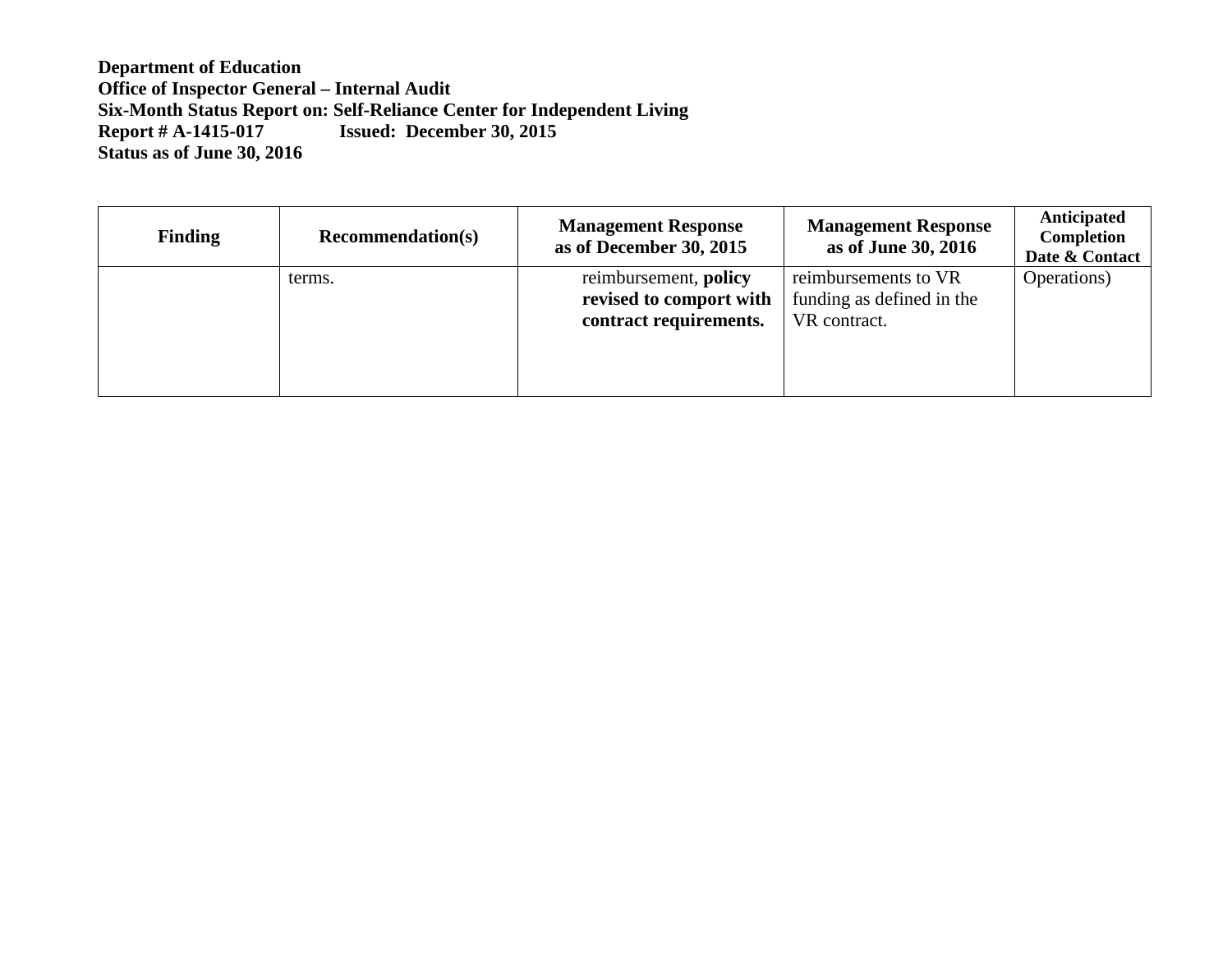| <b>Finding</b> | <b>Recommendation(s)</b> | <b>Management Response</b><br>as of December 30, 2015                      | <b>Management Response</b><br>as of June 30, 2016                 | Anticipated<br>Completion<br>Date & Contact |
|----------------|--------------------------|----------------------------------------------------------------------------|-------------------------------------------------------------------|---------------------------------------------|
|                | terms.                   | reimbursement, policy<br>revised to comport with<br>contract requirements. | reimbursements to VR<br>funding as defined in the<br>VR contract. | Operations)                                 |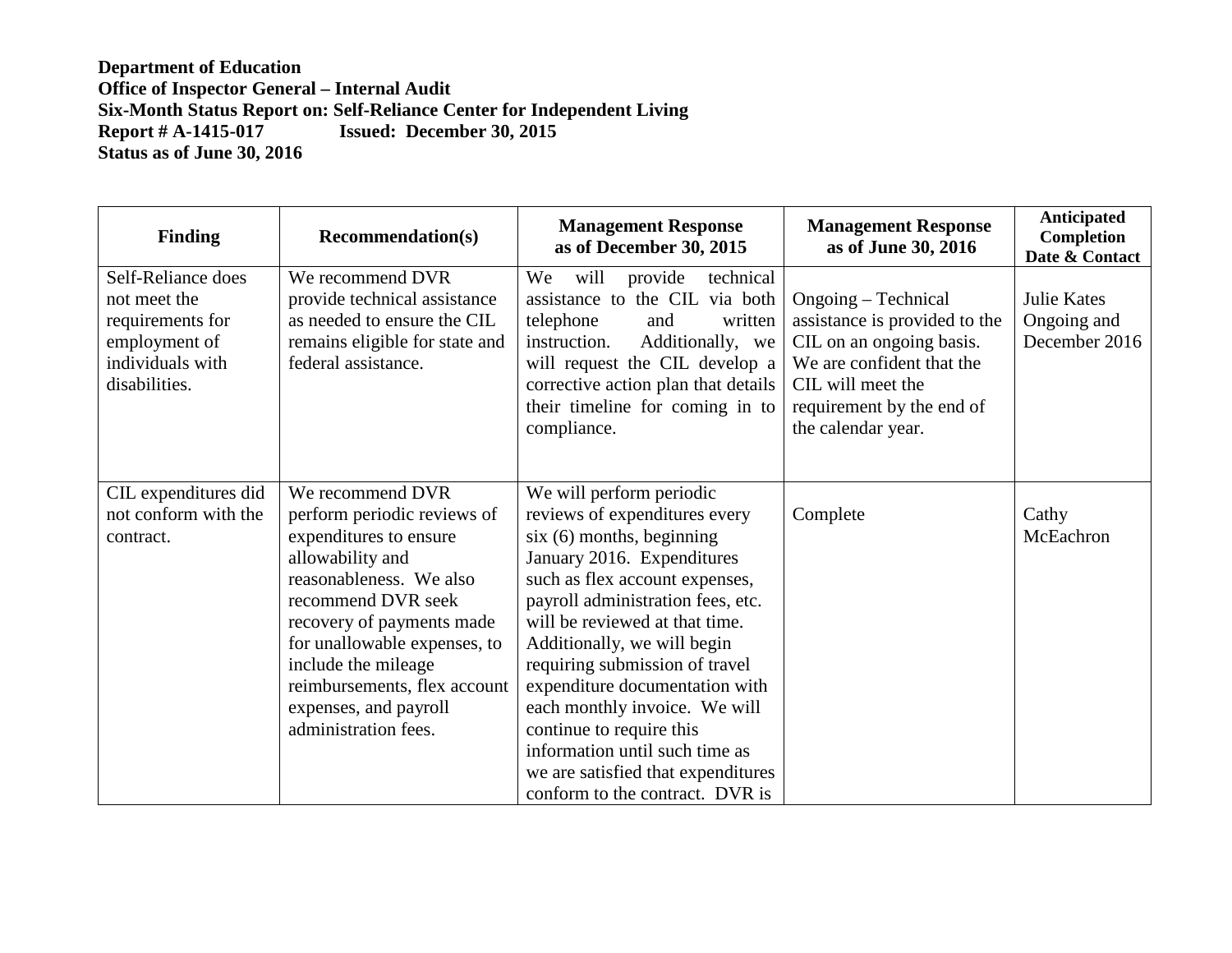| <b>Finding</b>                                                                                               | <b>Recommendation(s)</b>                                                                                                                                                                                                                                                                                            | <b>Management Response</b><br>as of December 30, 2015                                                                                                                                                                                                                                                                                                                                                                                                                                                     | <b>Management Response</b><br>as of June 30, 2016                                                                                                                                     | <b>Anticipated</b><br><b>Completion</b><br>Date & Contact |
|--------------------------------------------------------------------------------------------------------------|---------------------------------------------------------------------------------------------------------------------------------------------------------------------------------------------------------------------------------------------------------------------------------------------------------------------|-----------------------------------------------------------------------------------------------------------------------------------------------------------------------------------------------------------------------------------------------------------------------------------------------------------------------------------------------------------------------------------------------------------------------------------------------------------------------------------------------------------|---------------------------------------------------------------------------------------------------------------------------------------------------------------------------------------|-----------------------------------------------------------|
| Self-Reliance does<br>not meet the<br>requirements for<br>employment of<br>individuals with<br>disabilities. | We recommend DVR<br>provide technical assistance<br>as needed to ensure the CIL<br>remains eligible for state and<br>federal assistance.                                                                                                                                                                            | will<br>provide<br>We<br>technical<br>assistance to the CIL via both<br>telephone<br>and<br>written<br>instruction.<br>Additionally, we<br>will request the CIL develop a<br>corrective action plan that details<br>their timeline for coming in to<br>compliance.                                                                                                                                                                                                                                        | Ongoing – Technical<br>assistance is provided to the<br>CIL on an ongoing basis.<br>We are confident that the<br>CIL will meet the<br>requirement by the end of<br>the calendar year. | <b>Julie Kates</b><br>Ongoing and<br>December 2016        |
| CIL expenditures did<br>not conform with the<br>contract.                                                    | We recommend DVR<br>perform periodic reviews of<br>expenditures to ensure<br>allowability and<br>reasonableness. We also<br>recommend DVR seek<br>recovery of payments made<br>for unallowable expenses, to<br>include the mileage<br>reimbursements, flex account<br>expenses, and payroll<br>administration fees. | We will perform periodic<br>reviews of expenditures every<br>$six(6)$ months, beginning<br>January 2016. Expenditures<br>such as flex account expenses,<br>payroll administration fees, etc.<br>will be reviewed at that time.<br>Additionally, we will begin<br>requiring submission of travel<br>expenditure documentation with<br>each monthly invoice. We will<br>continue to require this<br>information until such time as<br>we are satisfied that expenditures<br>conform to the contract. DVR is | Complete                                                                                                                                                                              | Cathy<br>McEachron                                        |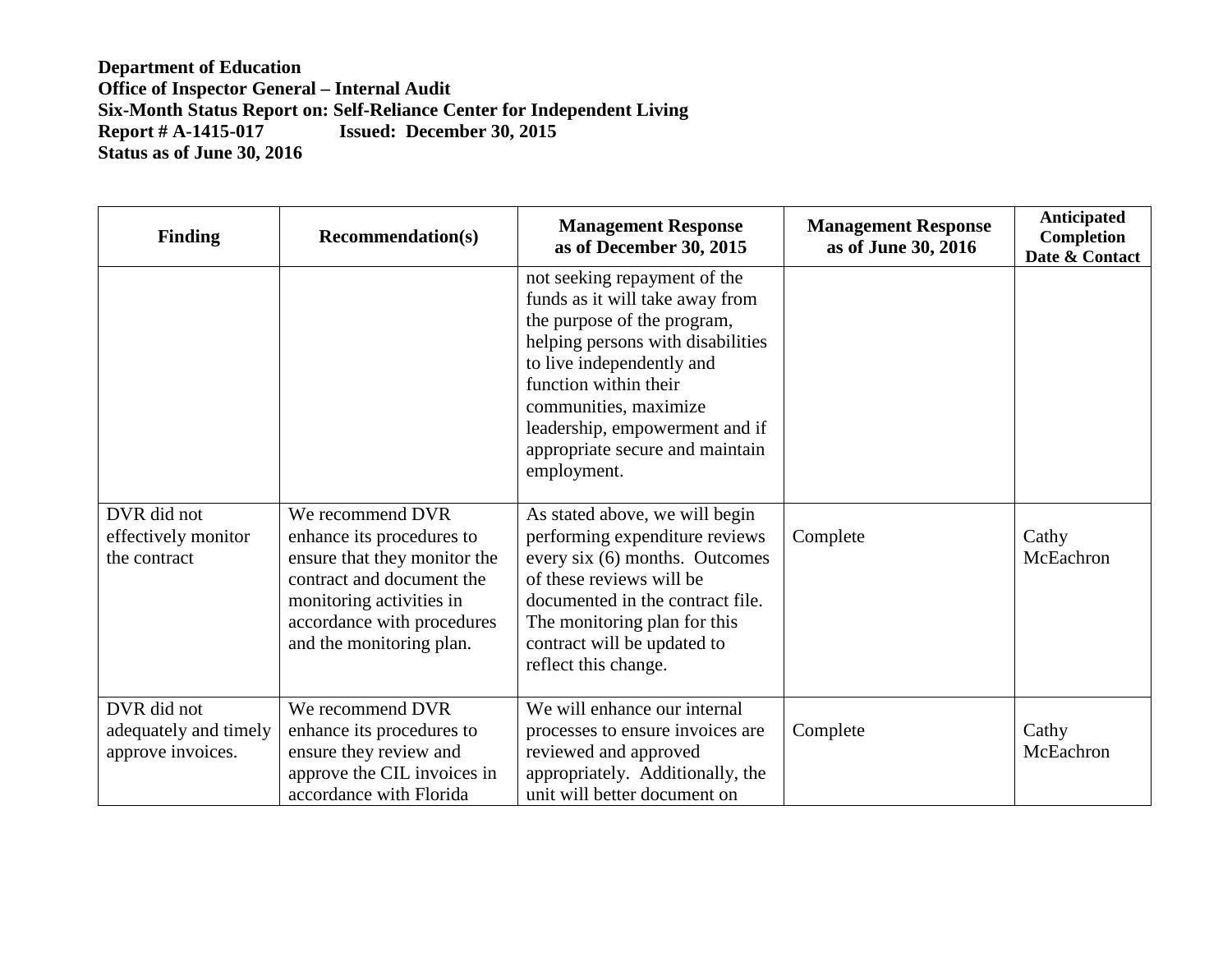| <b>Finding</b>                                            | <b>Recommendation(s)</b>                                                                                                                                                                         | <b>Management Response</b><br>as of December 30, 2015                                                                                                                                                                                                                                                  | <b>Management Response</b><br>as of June 30, 2016 | Anticipated<br>Completion<br>Date & Contact |
|-----------------------------------------------------------|--------------------------------------------------------------------------------------------------------------------------------------------------------------------------------------------------|--------------------------------------------------------------------------------------------------------------------------------------------------------------------------------------------------------------------------------------------------------------------------------------------------------|---------------------------------------------------|---------------------------------------------|
|                                                           |                                                                                                                                                                                                  | not seeking repayment of the<br>funds as it will take away from<br>the purpose of the program,<br>helping persons with disabilities<br>to live independently and<br>function within their<br>communities, maximize<br>leadership, empowerment and if<br>appropriate secure and maintain<br>employment. |                                                   |                                             |
| DVR did not<br>effectively monitor<br>the contract        | We recommend DVR<br>enhance its procedures to<br>ensure that they monitor the<br>contract and document the<br>monitoring activities in<br>accordance with procedures<br>and the monitoring plan. | As stated above, we will begin<br>performing expenditure reviews<br>every six (6) months. Outcomes<br>of these reviews will be<br>documented in the contract file.<br>The monitoring plan for this<br>contract will be updated to<br>reflect this change.                                              | Complete                                          | Cathy<br>McEachron                          |
| DVR did not<br>adequately and timely<br>approve invoices. | We recommend DVR<br>enhance its procedures to<br>ensure they review and<br>approve the CIL invoices in<br>accordance with Florida                                                                | We will enhance our internal<br>processes to ensure invoices are<br>reviewed and approved<br>appropriately. Additionally, the<br>unit will better document on                                                                                                                                          | Complete                                          | Cathy<br>McEachron                          |